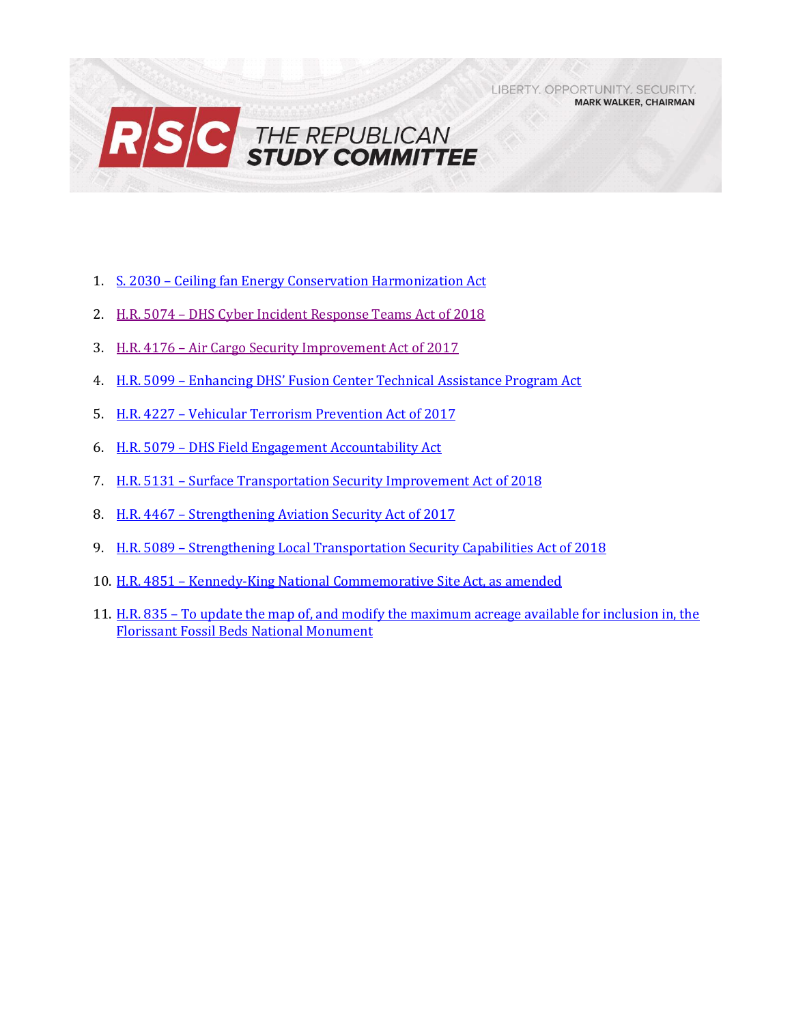LIBERTY, OPPORTUNITY, SECURITY, **MARK WALKER, CHAIRMAN** 



- 1. S. 2030 [Ceiling fan Energy Conservation Harmonization Act](#page-1-0)
- 2. H.R. 5074 [DHS Cyber Incident Response Teams Act of 2018](#page-2-0)
- 3. H.R. 4176 [Air Cargo Security Improvement Act of 2017](#page-4-0)
- 4. H.R. 5099 [Enhancing DHS' Fusion Center Technical Assistance Program Act](#page-6-0)
- 5. H.R. 4227 [Vehicular Terrorism Prevention Act of](#page-7-0) 2017
- 6. H.R. 5079 [DHS Field Engagement Accountability Act](#page-8-0)
- 7. H.R. 5131 [Surface Transportation Security Improvement Act of 2018](#page-10-0)
- 8. H.R. 4467 [Strengthening Aviation Security Act of 2017](#page-12-0)
- 9. H.R. 5089 [Strengthening Local Transportation Security Capabilities Act of 2018](#page-13-0)
- 10. H.R. 4851 [Kennedy-King National Commemorative Site Act, as amended](#page-15-0)
- 11. H.R. 835 [To update the map of, and modify the maximum acreage available for inclusion in, the](#page-17-0)  [Florissant Fossil Beds National Monument](#page-17-0)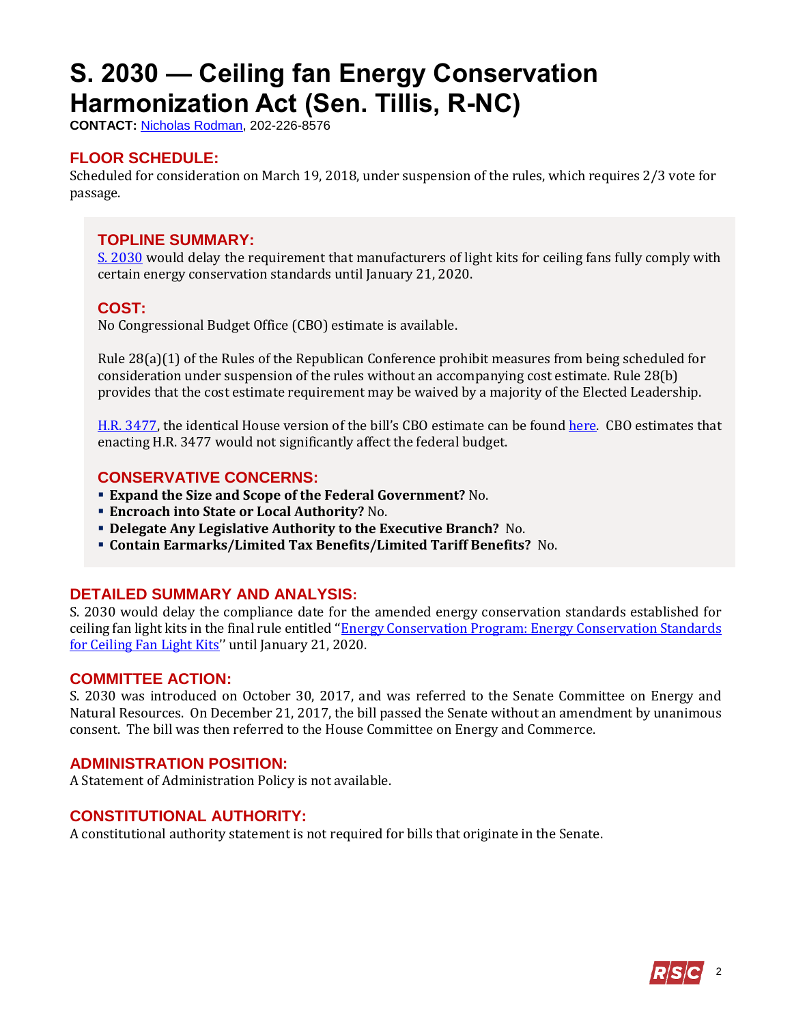# <span id="page-1-0"></span>**S. 2030 — Ceiling fan Energy Conservation Harmonization Act (Sen. Tillis, R-NC)**

**CONTACT:** [Nicholas Rodman,](mailto:nicholas.rodman@mail.house.gov) 202-226-8576

## **FLOOR SCHEDULE:**

Scheduled for consideration on March 19, 2018, under suspension of the rules, which requires 2/3 vote for passage.

### **TOPLINE SUMMARY:**

[S. 2030](https://www.congress.gov/115/bills/s2030/BILLS-115s2030rfh.pdf) would delay the requirement that manufacturers of light kits for ceiling fans fully comply with certain energy conservation standards until January 21, 2020.

### **COST:**

No Congressional Budget Office (CBO) estimate is available.

Rule 28(a)(1) of the Rules of the Republican Conference prohibit measures from being scheduled for consideration under suspension of the rules without an accompanying cost estimate. Rule 28(b) provides that the cost estimate requirement may be waived by a majority of the Elected Leadership.

[H.R. 3477,](https://www.gpo.gov/fdsys/pkg/BILLS-115hr3477ih/pdf/BILLS-115hr3477ih.pdf) the identical House version of the bill's CBO estimate can be found [here.](https://www.cbo.gov/system/files/115th-congress-2017-2018/costestimate/hr3477.pdf) CBO estimates that enacting H.R. 3477 would not significantly affect the federal budget.

## **CONSERVATIVE CONCERNS:**

- **Expand the Size and Scope of the Federal Government?** No.
- **Encroach into State or Local Authority?** No.
- **Delegate Any Legislative Authority to the Executive Branch?** No.
- **Contain Earmarks/Limited Tax Benefits/Limited Tariff Benefits?** No.

## **DETAILED SUMMARY AND ANALYSIS:**

S. 2030 would delay the compliance date for the amended energy conservation standards established for ceiling fan light kits in the final rule entitled ''Energy Conservation [Program: Energy Conservation Standards](https://www.energy.gov/sites/prod/files/2015/06/f24/cflk_nopr-ld.pdf)  [for Ceiling Fan Light Kits](https://www.energy.gov/sites/prod/files/2015/06/f24/cflk_nopr-ld.pdf)'' until January 21, 2020.

### **COMMITTEE ACTION:**

S. 2030 was introduced on October 30, 2017, and was referred to the Senate Committee on Energy and Natural Resources. On December 21, 2017, the bill passed the Senate without an amendment by unanimous consent. The bill was then referred to the House Committee on Energy and Commerce.

### **ADMINISTRATION POSITION:**

A Statement of Administration Policy is not available.

## **CONSTITUTIONAL AUTHORITY:**

A constitutional authority statement is not required for bills that originate in the Senate.

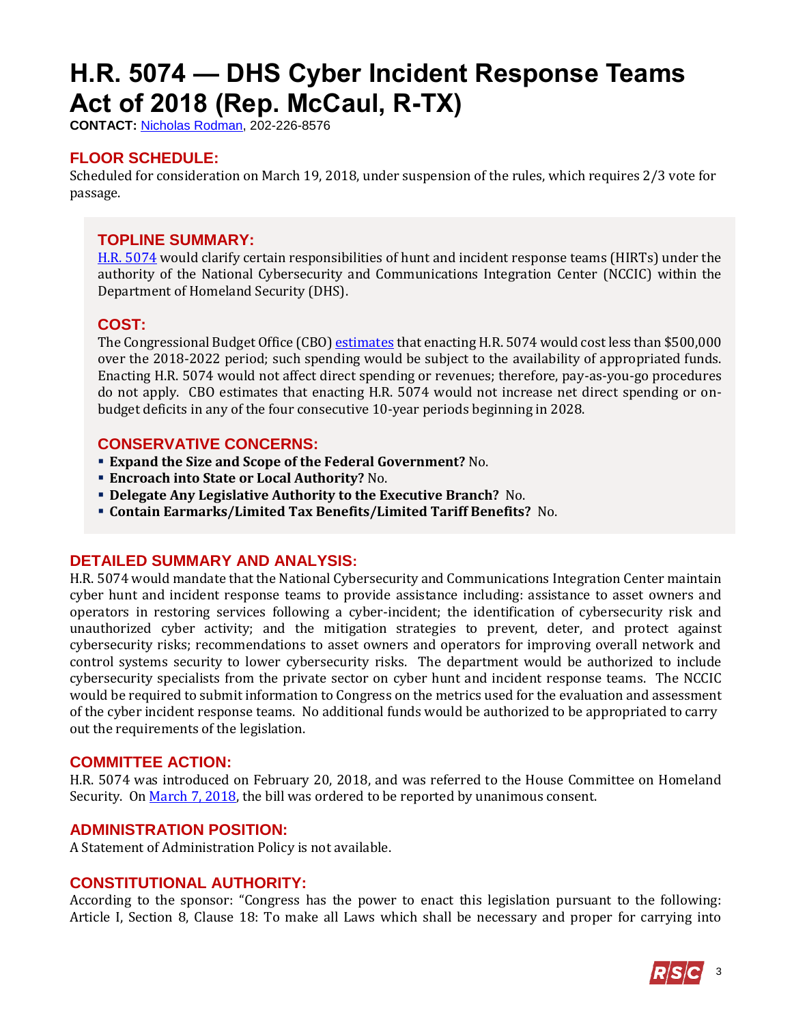# <span id="page-2-0"></span>**H.R. 5074 — DHS Cyber Incident Response Teams Act of 2018 (Rep. McCaul, R-TX)**

**CONTACT:** [Nicholas Rodman,](mailto:nicholas.rodman@mail.house.gov) 202-226-8576

## **FLOOR SCHEDULE:**

Scheduled for consideration on March 19, 2018, under suspension of the rules, which requires 2/3 vote for passage.

## **TOPLINE SUMMARY:**

[H.R. 5074](http://docs.house.gov/billsthisweek/20180319/HR5074.pdf) would clarify certain responsibilities of hunt and incident response teams (HIRTs) under the authority of the National Cybersecurity and Communications Integration Center (NCCIC) within the Department of Homeland Security (DHS).

### **COST:**

The Congressional Budget Office (CBO[\) estimates](https://www.cbo.gov/system/files/115th-congress-2017-2018/costestimate/hr5074.pdf) that enacting H.R. 5074 would cost less than \$500,000 over the 2018-2022 period; such spending would be subject to the availability of appropriated funds. Enacting H.R. 5074 would not affect direct spending or revenues; therefore, pay-as-you-go procedures do not apply. CBO estimates that enacting H.R. 5074 would not increase net direct spending or onbudget deficits in any of the four consecutive 10-year periods beginning in 2028.

### **CONSERVATIVE CONCERNS:**

- **Expand the Size and Scope of the Federal Government?** No.
- **Encroach into State or Local Authority?** No.
- **Delegate Any Legislative Authority to the Executive Branch?** No.
- **Contain Earmarks/Limited Tax Benefits/Limited Tariff Benefits?** No.

### **DETAILED SUMMARY AND ANALYSIS:**

H.R. 5074 would mandate that the National Cybersecurity and Communications Integration Center maintain cyber hunt and incident response teams to provide assistance including: assistance to asset owners and operators in restoring services following a cyber-incident; the identification of cybersecurity risk and unauthorized cyber activity; and the mitigation strategies to prevent, deter, and protect against cybersecurity risks; recommendations to asset owners and operators for improving overall network and control systems security to lower cybersecurity risks. The department would be authorized to include cybersecurity specialists from the private sector on cyber hunt and incident response teams. The NCCIC would be required to submit information to Congress on the metrics used for the evaluation and assessment of the cyber incident response teams. No additional funds would be authorized to be appropriated to carry out the requirements of the legislation.

### **COMMITTEE ACTION:**

H.R. 5074 was introduced on February 20, 2018, and was referred to the House Committee on Homeland Security. O[n March 7, 2018,](https://homeland.house.gov/markup/markup-h-r-4176-h-r-4227-h-r-4467-h-r-4627-h-r-5074-h-r-5079-h-r-5081-h-r-5089-h-r-5094-h-r-5099-h-r-5131/) the bill was ordered to be reported by unanimous consent.

### **ADMINISTRATION POSITION:**

A Statement of Administration Policy is not available.

## **CONSTITUTIONAL AUTHORITY:**

According to the sponsor: "Congress has the power to enact this legislation pursuant to the following: Article I, Section 8, Clause 18: To make all Laws which shall be necessary and proper for carrying into

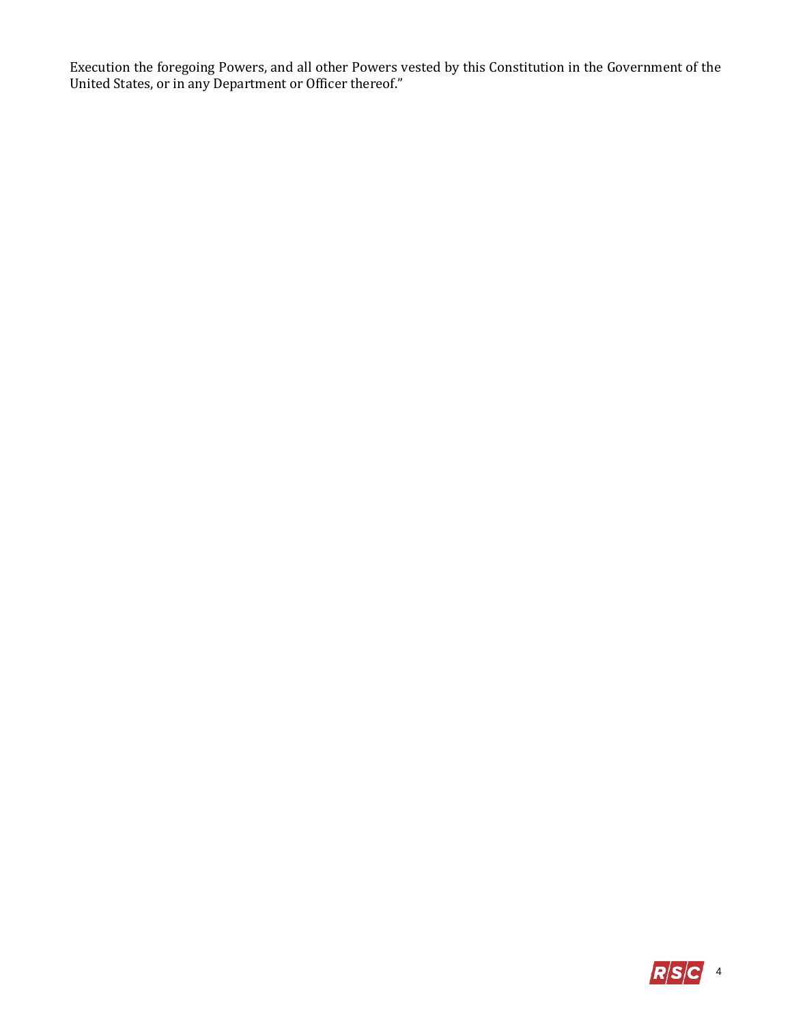Execution the foregoing Powers, and all other Powers vested by this Constitution in the Government of the United States, or in any Department or Officer thereof."

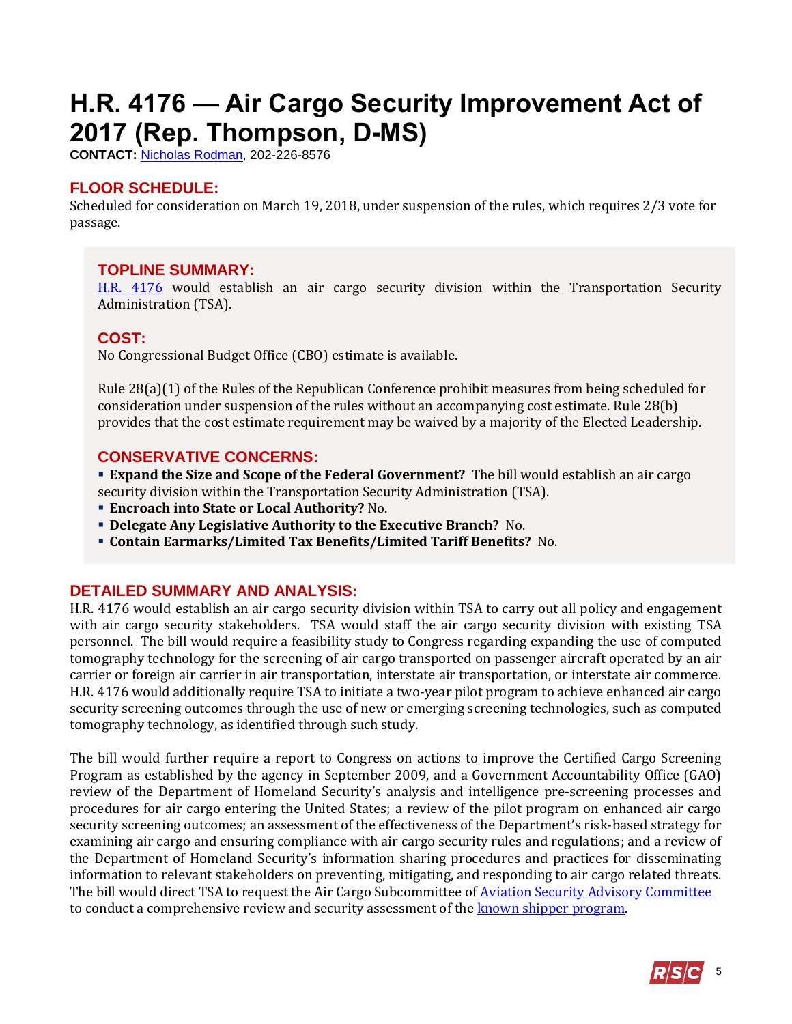# <span id="page-4-0"></span>**H.R. 4176 — Air Cargo Security Improvement Act of 2017 (Rep. Thompson, D-MS)**

**CONTACT:** [Nicholas Rodman,](mailto:nicholas.rodman@mail.house.gov) 202-226-8576

## **FLOOR SCHEDULE:**

Scheduled for consideration on March 19, 2018, under suspension of the rules, which requires 2/3 vote for passage.

### **TOPLINE SUMMARY:**

[H.R. 4176](http://docs.house.gov/billsthisweek/20180319/HR4176.pdf) would establish an air cargo security division within the Transportation Security Administration (TSA).

### **COST:**

No Congressional Budget Office (CBO) estimate is available.

Rule 28(a)(1) of the Rules of the Republican Conference prohibit measures from being scheduled for consideration under suspension of the rules without an accompanying cost estimate. Rule 28(b) provides that the cost estimate requirement may be waived by a majority of the Elected Leadership.

## **CONSERVATIVE CONCERNS:**

**Expand the Size and Scope of the Federal Government?** The bill would establish an air cargo security division within the Transportation Security Administration (TSA).

- **Encroach into State or Local Authority?** No.
- **Delegate Any Legislative Authority to the Executive Branch?** No.
- **Contain Earmarks/Limited Tax Benefits/Limited Tariff Benefits?** No.

## **DETAILED SUMMARY AND ANALYSIS:**

H.R. 4176 would establish an air cargo security division within TSA to carry out all policy and engagement with air cargo security stakeholders. TSA would staff the air cargo security division with existing TSA personnel. The bill would require a feasibility study to Congress regarding expanding the use of computed tomography technology for the screening of air cargo transported on passenger aircraft operated by an air carrier or foreign air carrier in air transportation, interstate air transportation, or interstate air commerce. H.R. 4176 would additionally require TSA to initiate a two-year pilot program to achieve enhanced air cargo security screening outcomes through the use of new or emerging screening technologies, such as computed tomography technology, as identified through such study.

The bill would further require a report to Congress on actions to improve the Certified Cargo Screening Program as established by the agency in September 2009, and a Government Accountability Office (GAO) review of the Department of Homeland Security's analysis and intelligence pre-screening processes and procedures for air cargo entering the United States; a review of the pilot program on enhanced air cargo security screening outcomes; an assessment of the effectiveness of the Department's risk-based strategy for examining air cargo and ensuring compliance with air cargo security rules and regulations; and a review of the Department of Homeland Security's information sharing procedures and practices for disseminating information to relevant stakeholders on preventing, mitigating, and responding to air cargo related threats. The bill would direct TSA to request the Air Cargo Subcommittee o[f Aviation Security Advisory Committee](https://www.tsa.gov/for-industry/aviation-security) to conduct a comprehensive review and security assessment of the **known shipper program**.

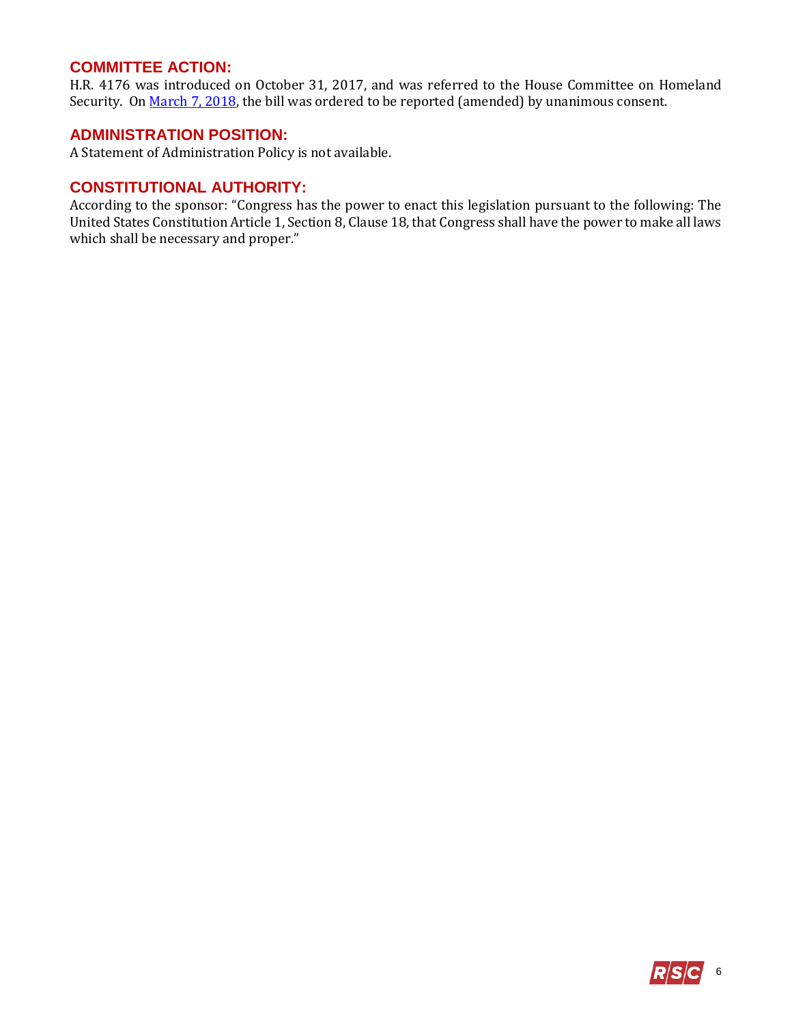## **COMMITTEE ACTION:**

H.R. 4176 was introduced on October 31, 2017, and was referred to the House Committee on Homeland Security. On [March 7, 2018,](https://homeland.house.gov/markup/markup-h-r-4176-h-r-4227-h-r-4467-h-r-4627-h-r-5074-h-r-5079-h-r-5081-h-r-5089-h-r-5094-h-r-5099-h-r-5131/) the bill was ordered to be reported (amended) by unanimous consent.

## **ADMINISTRATION POSITION:**

A Statement of Administration Policy is not available.

### **CONSTITUTIONAL AUTHORITY:**

According to the sponsor: "Congress has the power to enact this legislation pursuant to the following: The United States Constitution Article 1, Section 8, Clause 18, that Congress shall have the power to make all laws which shall be necessary and proper."

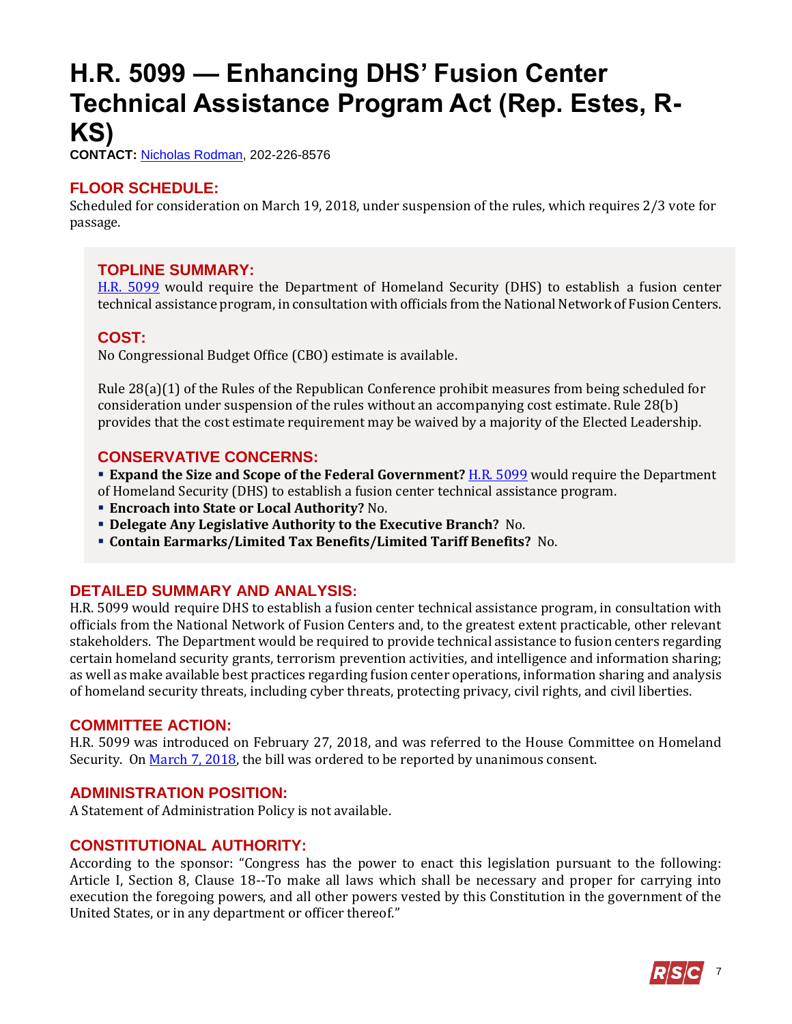## <span id="page-6-0"></span>**H.R. 5099 — Enhancing DHS' Fusion Center Technical Assistance Program Act (Rep. Estes, R-KS)**

**CONTACT:** [Nicholas Rodman,](mailto:nicholas.rodman@mail.house.gov) 202-226-8576

## **FLOOR SCHEDULE:**

Scheduled for consideration on March 19, 2018, under suspension of the rules, which requires 2/3 vote for passage.

## **TOPLINE SUMMARY:**

[H.R. 5099](http://docs.house.gov/billsthisweek/20180319/HR5099.pdf) would require the Department of Homeland Security (DHS) to establish a fusion center technical assistance program, in consultation with officials from the National Network of Fusion Centers.

## **COST:**

No Congressional Budget Office (CBO) estimate is available.

Rule 28(a)(1) of the Rules of the Republican Conference prohibit measures from being scheduled for consideration under suspension of the rules without an accompanying cost estimate. Rule 28(b) provides that the cost estimate requirement may be waived by a majority of the Elected Leadership.

## **CONSERVATIVE CONCERNS:**

- **Expand the Size and Scope of the Federal Government?** [H.R. 5099](http://docs.house.gov/billsthisweek/20180319/HR5099.pdf) would require the Department of Homeland Security (DHS) to establish a fusion center technical assistance program.
- **Encroach into State or Local Authority?** No.
- **Delegate Any Legislative Authority to the Executive Branch?** No.
- **Contain Earmarks/Limited Tax Benefits/Limited Tariff Benefits?** No.

## **DETAILED SUMMARY AND ANALYSIS:**

H.R. 5099 would require DHS to establish a fusion center technical assistance program, in consultation with officials from the National Network of Fusion Centers and, to the greatest extent practicable, other relevant stakeholders. The Department would be required to provide technical assistance to fusion centers regarding certain homeland security grants, terrorism prevention activities, and intelligence and information sharing; as well as make available best practices regarding fusion center operations, information sharing and analysis of homeland security threats, including cyber threats, protecting privacy, civil rights, and civil liberties.

## **COMMITTEE ACTION:**

H.R. 5099 was introduced on February 27, 2018, and was referred to the House Committee on Homeland Security. O[n March 7, 2018,](https://homeland.house.gov/markup/markup-h-r-4176-h-r-4227-h-r-4467-h-r-4627-h-r-5074-h-r-5079-h-r-5081-h-r-5089-h-r-5094-h-r-5099-h-r-5131/) the bill was ordered to be reported by unanimous consent.

## **ADMINISTRATION POSITION:**

A Statement of Administration Policy is not available.

## **CONSTITUTIONAL AUTHORITY:**

According to the sponsor: "Congress has the power to enact this legislation pursuant to the following: Article I, Section 8, Clause 18--To make all laws which shall be necessary and proper for carrying into execution the foregoing powers, and all other powers vested by this Constitution in the government of the United States, or in any department or officer thereof."

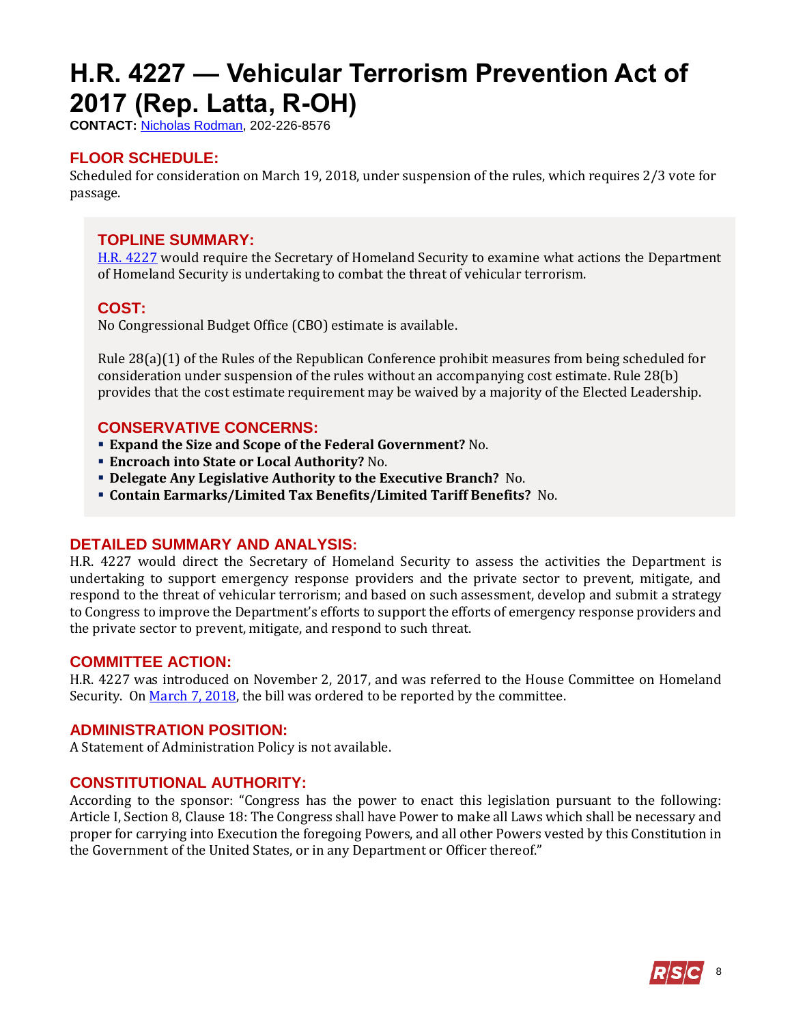# <span id="page-7-0"></span>**H.R. 4227 — Vehicular Terrorism Prevention Act of 2017 (Rep. Latta, R-OH)**

**CONTACT:** [Nicholas Rodman,](mailto:nicholas.rodman@mail.house.gov) 202-226-8576

## **FLOOR SCHEDULE:**

Scheduled for consideration on March 19, 2018, under suspension of the rules, which requires 2/3 vote for passage.

### **TOPLINE SUMMARY:**

[H.R. 4227](http://docs.house.gov/billsthisweek/20180319/HR4227.pdf) would require the Secretary of Homeland Security to examine what actions the Department of Homeland Security is undertaking to combat the threat of vehicular terrorism.

## **COST:**

No Congressional Budget Office (CBO) estimate is available.

Rule 28(a)(1) of the Rules of the Republican Conference prohibit measures from being scheduled for consideration under suspension of the rules without an accompanying cost estimate. Rule 28(b) provides that the cost estimate requirement may be waived by a majority of the Elected Leadership.

### **CONSERVATIVE CONCERNS:**

- **Expand the Size and Scope of the Federal Government?** No.
- **Encroach into State or Local Authority?** No.
- **Delegate Any Legislative Authority to the Executive Branch?** No.
- **Contain Earmarks/Limited Tax Benefits/Limited Tariff Benefits?** No.

### **DETAILED SUMMARY AND ANALYSIS:**

H.R. 4227 would direct the Secretary of Homeland Security to assess the activities the Department is undertaking to support emergency response providers and the private sector to prevent, mitigate, and respond to the threat of vehicular terrorism; and based on such assessment, develop and submit a strategy to Congress to improve the Department's efforts to support the efforts of emergency response providers and the private sector to prevent, mitigate, and respond to such threat.

### **COMMITTEE ACTION:**

H.R. 4227 was introduced on November 2, 2017, and was referred to the House Committee on Homeland Security. O[n March 7, 2018,](https://homeland.house.gov/markup/markup-h-r-4176-h-r-4227-h-r-4467-h-r-4627-h-r-5074-h-r-5079-h-r-5081-h-r-5089-h-r-5094-h-r-5099-h-r-5131/) the bill was ordered to be reported by the committee.

### **ADMINISTRATION POSITION:**

A Statement of Administration Policy is not available.

### **CONSTITUTIONAL AUTHORITY:**

According to the sponsor: "Congress has the power to enact this legislation pursuant to the following: Article I, Section 8, Clause 18: The Congress shall have Power to make all Laws which shall be necessary and proper for carrying into Execution the foregoing Powers, and all other Powers vested by this Constitution in the Government of the United States, or in any Department or Officer thereof."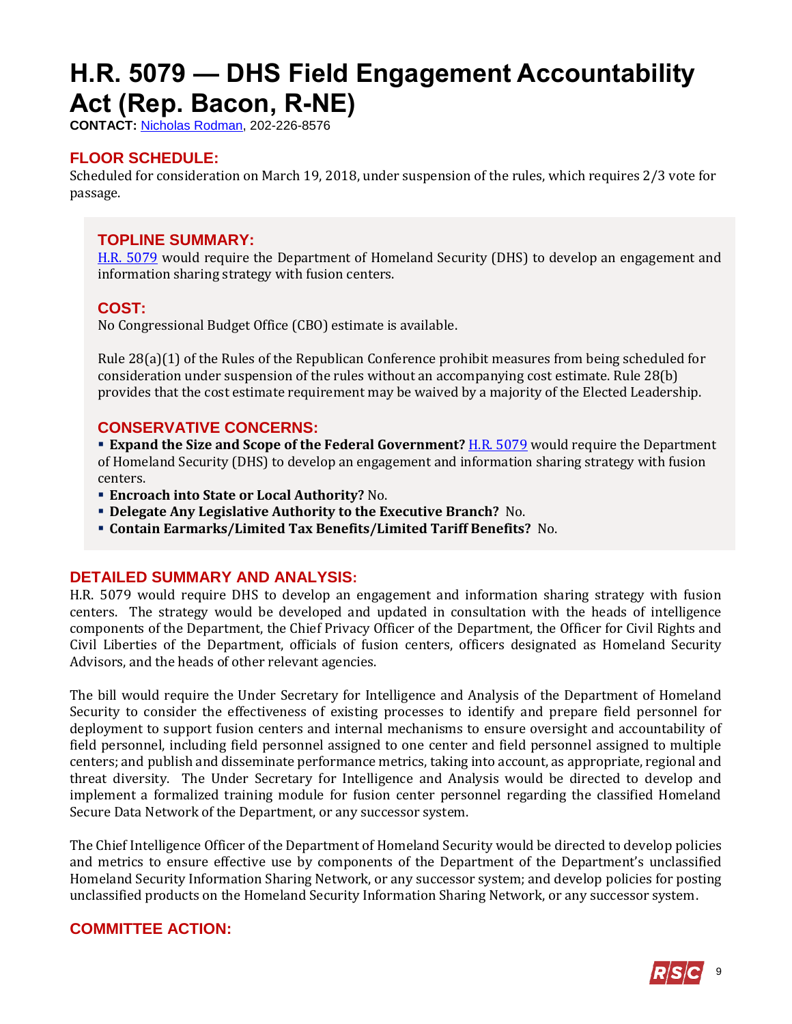## <span id="page-8-0"></span>**H.R. 5079 — DHS Field Engagement Accountability Act (Rep. Bacon, R-NE)**

**CONTACT:** [Nicholas Rodman,](mailto:nicholas.rodman@mail.house.gov) 202-226-8576

## **FLOOR SCHEDULE:**

Scheduled for consideration on March 19, 2018, under suspension of the rules, which requires 2/3 vote for passage.

## **TOPLINE SUMMARY:**

[H.R. 5079](http://docs.house.gov/billsthisweek/20180319/HR5079.pdf) would require the Department of Homeland Security (DHS) to develop an engagement and information sharing strategy with fusion centers.

### **COST:**

No Congressional Budget Office (CBO) estimate is available.

Rule 28(a)(1) of the Rules of the Republican Conference prohibit measures from being scheduled for consideration under suspension of the rules without an accompanying cost estimate. Rule 28(b) provides that the cost estimate requirement may be waived by a majority of the Elected Leadership.

### **CONSERVATIVE CONCERNS:**

**Expand the Size and Scope of the Federal Government?** [H.R. 5079](http://docs.house.gov/billsthisweek/20180319/HR5079.pdf) would require the Department of Homeland Security (DHS) to develop an engagement and information sharing strategy with fusion centers.

- **Encroach into State or Local Authority?** No.
- **Delegate Any Legislative Authority to the Executive Branch?** No.
- **Contain Earmarks/Limited Tax Benefits/Limited Tariff Benefits?** No.

### **DETAILED SUMMARY AND ANALYSIS:**

H.R. 5079 would require DHS to develop an engagement and information sharing strategy with fusion centers. The strategy would be developed and updated in consultation with the heads of intelligence components of the Department, the Chief Privacy Officer of the Department, the Officer for Civil Rights and Civil Liberties of the Department, officials of fusion centers, officers designated as Homeland Security Advisors, and the heads of other relevant agencies.

The bill would require the Under Secretary for Intelligence and Analysis of the Department of Homeland Security to consider the effectiveness of existing processes to identify and prepare field personnel for deployment to support fusion centers and internal mechanisms to ensure oversight and accountability of field personnel, including field personnel assigned to one center and field personnel assigned to multiple centers; and publish and disseminate performance metrics, taking into account, as appropriate, regional and threat diversity. The Under Secretary for Intelligence and Analysis would be directed to develop and implement a formalized training module for fusion center personnel regarding the classified Homeland Secure Data Network of the Department, or any successor system.

The Chief Intelligence Officer of the Department of Homeland Security would be directed to develop policies and metrics to ensure effective use by components of the Department of the Department's unclassified Homeland Security Information Sharing Network, or any successor system; and develop policies for posting unclassified products on the Homeland Security Information Sharing Network, or any successor system.

## **COMMITTEE ACTION:**

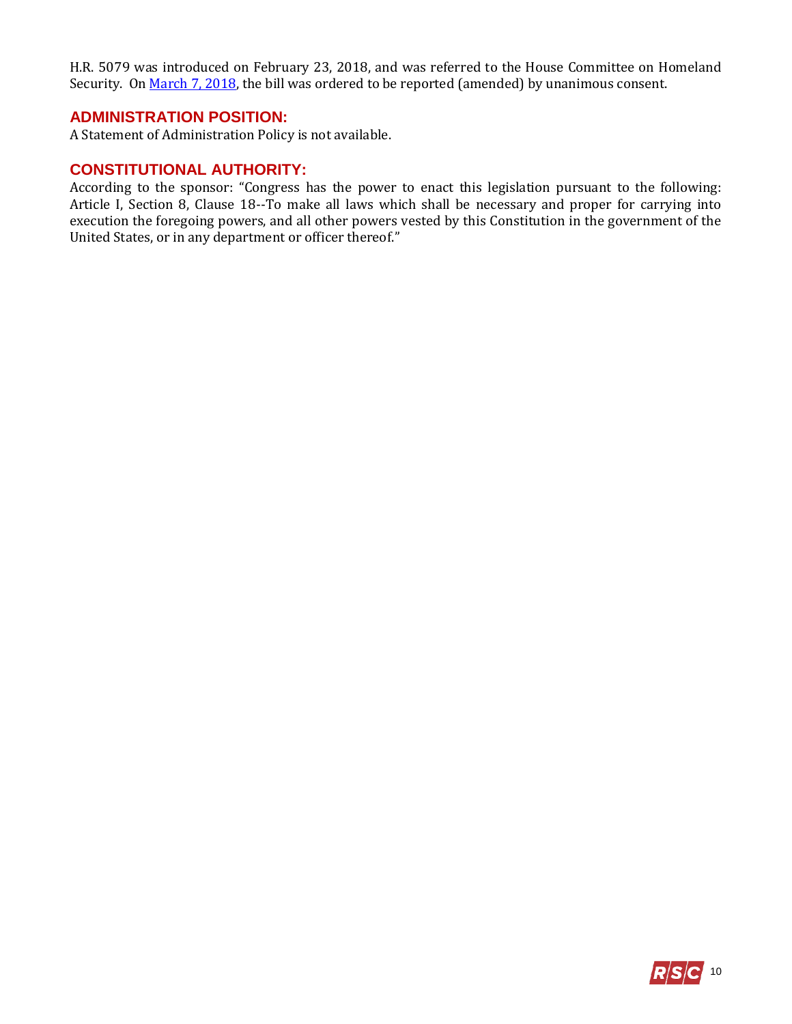H.R. 5079 was introduced on February 23, 2018, and was referred to the House Committee on Homeland Security. O[n March 7, 2018,](https://homeland.house.gov/markup/markup-h-r-4176-h-r-4227-h-r-4467-h-r-4627-h-r-5074-h-r-5079-h-r-5081-h-r-5089-h-r-5094-h-r-5099-h-r-5131/) the bill was ordered to be reported (amended) by unanimous consent.

### **ADMINISTRATION POSITION:**

A Statement of Administration Policy is not available.

#### **CONSTITUTIONAL AUTHORITY:**

According to the sponsor: "Congress has the power to enact this legislation pursuant to the following: Article I, Section 8, Clause 18--To make all laws which shall be necessary and proper for carrying into execution the foregoing powers, and all other powers vested by this Constitution in the government of the United States, or in any department or officer thereof."

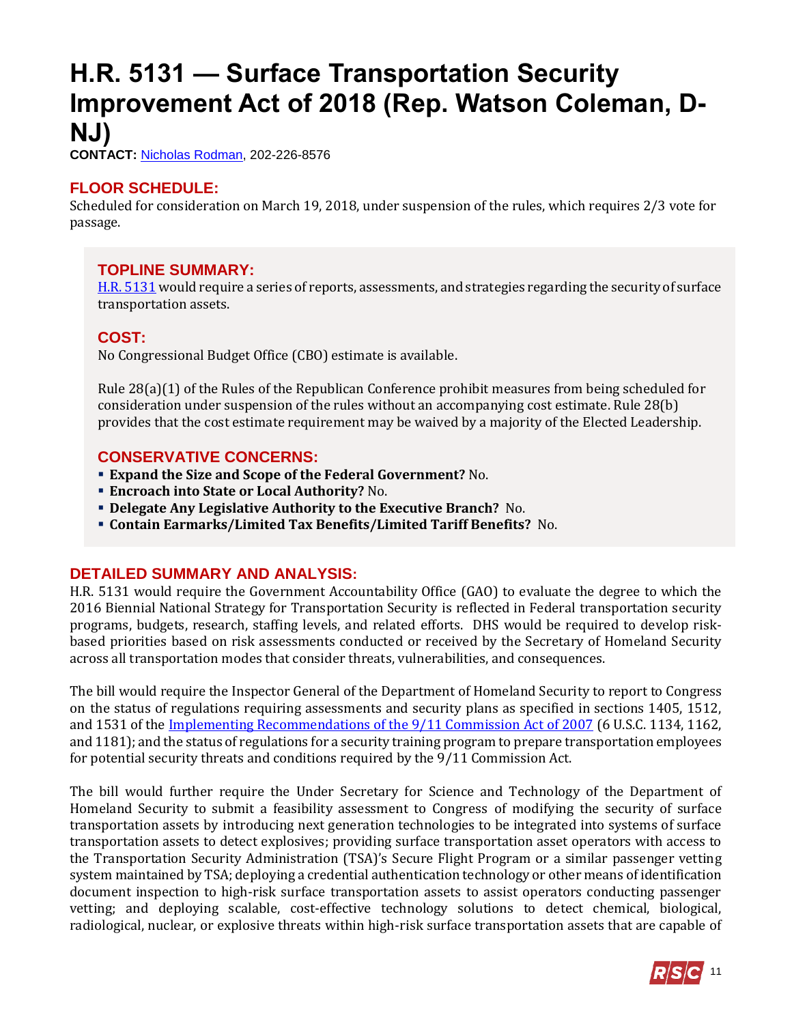## <span id="page-10-0"></span>**H.R. 5131 — Surface Transportation Security Improvement Act of 2018 (Rep. Watson Coleman, D-NJ)**

**CONTACT:** [Nicholas Rodman,](mailto:nicholas.rodman@mail.house.gov) 202-226-8576

## **FLOOR SCHEDULE:**

Scheduled for consideration on March 19, 2018, under suspension of the rules, which requires 2/3 vote for passage.

## **TOPLINE SUMMARY:**

[H.R. 5131](http://docs.house.gov/billsthisweek/20180319/HR5131.pdf) would require a series of reports, assessments, and strategies regarding the security of surface transportation assets.

## **COST:**

No Congressional Budget Office (CBO) estimate is available.

Rule 28(a)(1) of the Rules of the Republican Conference prohibit measures from being scheduled for consideration under suspension of the rules without an accompanying cost estimate. Rule 28(b) provides that the cost estimate requirement may be waived by a majority of the Elected Leadership.

## **CONSERVATIVE CONCERNS:**

- **Expand the Size and Scope of the Federal Government?** No.
- **Encroach into State or Local Authority?** No.
- **Delegate Any Legislative Authority to the Executive Branch?** No.
- **Contain Earmarks/Limited Tax Benefits/Limited Tariff Benefits?** No.

## **DETAILED SUMMARY AND ANALYSIS:**

H.R. 5131 would require the Government Accountability Office (GAO) to evaluate the degree to which the 2016 Biennial National Strategy for Transportation Security is reflected in Federal transportation security programs, budgets, research, staffing levels, and related efforts. DHS would be required to develop riskbased priorities based on risk assessments conducted or received by the Secretary of Homeland Security across all transportation modes that consider threats, vulnerabilities, and consequences.

The bill would require the Inspector General of the Department of Homeland Security to report to Congress on the status of regulations requiring assessments and security plans as specified in sections 1405, 1512, and 1531 of the [Implementing Recommendations of](https://www.congress.gov/110/plaws/publ53/PLAW-110publ53.pdf) the 9/11 Commission Act of 2007 (6 U.S.C. 1134, 1162, and 1181); and the status of regulations for a security training program to prepare transportation employees for potential security threats and conditions required by the 9/11 Commission Act.

The bill would further require the Under Secretary for Science and Technology of the Department of Homeland Security to submit a feasibility assessment to Congress of modifying the security of surface transportation assets by introducing next generation technologies to be integrated into systems of surface transportation assets to detect explosives; providing surface transportation asset operators with access to the Transportation Security Administration (TSA)'s Secure Flight Program or a similar passenger vetting system maintained by TSA; deploying a credential authentication technology or other means of identification document inspection to high-risk surface transportation assets to assist operators conducting passenger vetting; and deploying scalable, cost-effective technology solutions to detect chemical, biological, radiological, nuclear, or explosive threats within high-risk surface transportation assets that are capable of

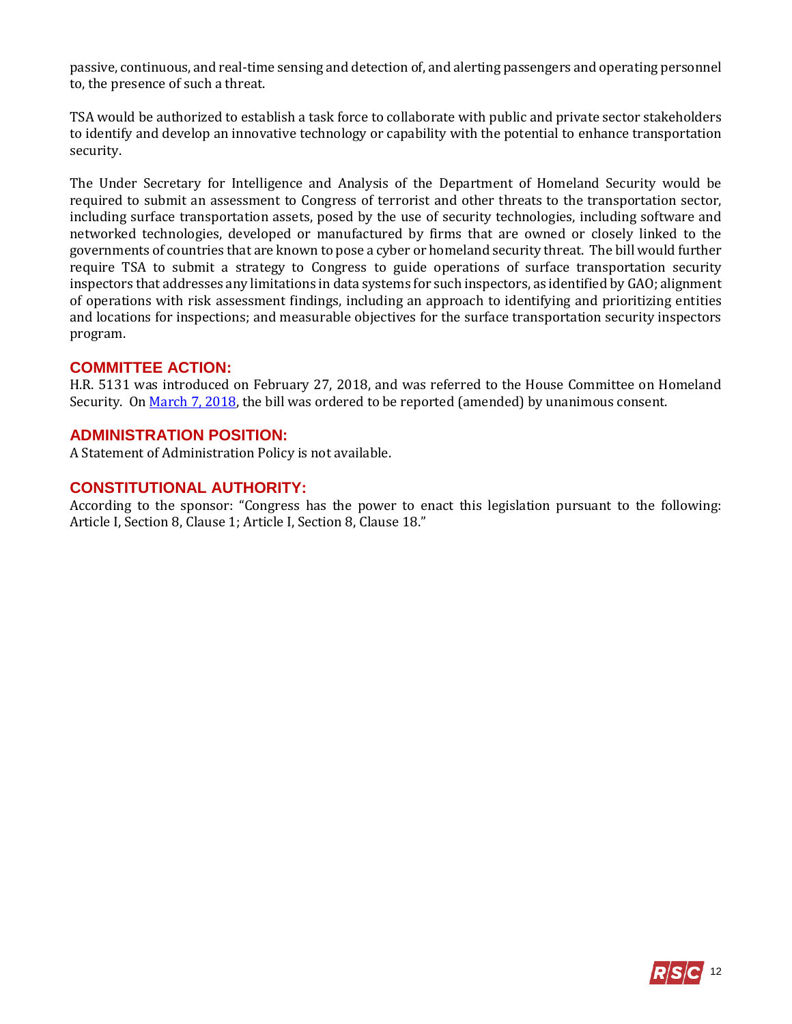passive, continuous, and real-time sensing and detection of, and alerting passengers and operating personnel to, the presence of such a threat.

TSA would be authorized to establish a task force to collaborate with public and private sector stakeholders to identify and develop an innovative technology or capability with the potential to enhance transportation security.

The Under Secretary for Intelligence and Analysis of the Department of Homeland Security would be required to submit an assessment to Congress of terrorist and other threats to the transportation sector, including surface transportation assets, posed by the use of security technologies, including software and networked technologies, developed or manufactured by firms that are owned or closely linked to the governments of countries that are known to pose a cyber or homeland security threat. The bill would further require TSA to submit a strategy to Congress to guide operations of surface transportation security inspectors that addresses any limitations in data systems for such inspectors, as identified by GAO; alignment of operations with risk assessment findings, including an approach to identifying and prioritizing entities and locations for inspections; and measurable objectives for the surface transportation security inspectors program.

#### **COMMITTEE ACTION:**

H.R. 5131 was introduced on February 27, 2018, and was referred to the House Committee on Homeland Security. O[n March 7, 2018,](https://homeland.house.gov/markup/markup-h-r-4176-h-r-4227-h-r-4467-h-r-4627-h-r-5074-h-r-5079-h-r-5081-h-r-5089-h-r-5094-h-r-5099-h-r-5131/) the bill was ordered to be reported (amended) by unanimous consent.

#### **ADMINISTRATION POSITION:**

A Statement of Administration Policy is not available.

### **CONSTITUTIONAL AUTHORITY:**

According to the sponsor: "Congress has the power to enact this legislation pursuant to the following: Article I, Section 8, Clause 1; Article I, Section 8, Clause 18."

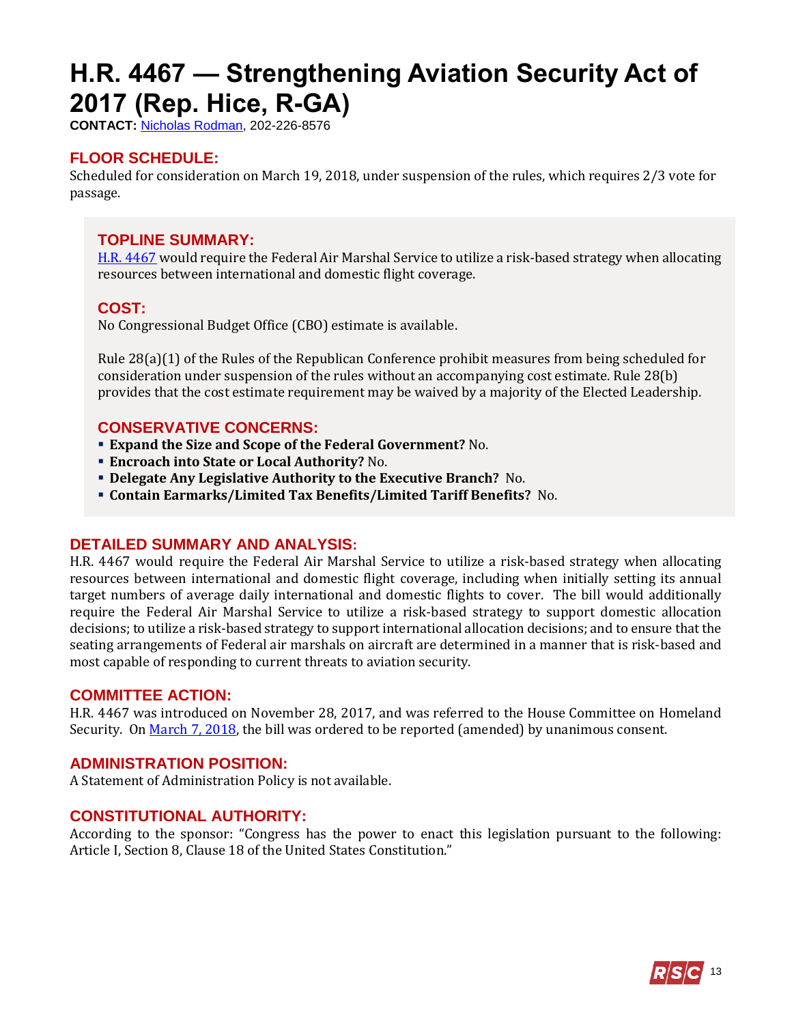# <span id="page-12-0"></span>**H.R. 4467 — Strengthening Aviation Security Act of 2017 (Rep. Hice, R-GA)**

**CONTACT:** [Nicholas Rodman,](mailto:nicholas.rodman@mail.house.gov) 202-226-8576

## **FLOOR SCHEDULE:**

Scheduled for consideration on March 19, 2018, under suspension of the rules, which requires 2/3 vote for passage.

## **TOPLINE SUMMARY:**

[H.R. 4467](http://docs.house.gov/billsthisweek/20180319/HR4467.pdf) would require the Federal Air Marshal Service to utilize a risk-based strategy when allocating resources between international and domestic flight coverage.

### **COST:**

No Congressional Budget Office (CBO) estimate is available.

Rule 28(a)(1) of the Rules of the Republican Conference prohibit measures from being scheduled for consideration under suspension of the rules without an accompanying cost estimate. Rule 28(b) provides that the cost estimate requirement may be waived by a majority of the Elected Leadership.

### **CONSERVATIVE CONCERNS:**

- **Expand the Size and Scope of the Federal Government?** No.
- **Encroach into State or Local Authority?** No.
- **Delegate Any Legislative Authority to the Executive Branch?** No.
- **Contain Earmarks/Limited Tax Benefits/Limited Tariff Benefits?** No.

### **DETAILED SUMMARY AND ANALYSIS:**

H.R. 4467 would require the Federal Air Marshal Service to utilize a risk-based strategy when allocating resources between international and domestic flight coverage, including when initially setting its annual target numbers of average daily international and domestic flights to cover. The bill would additionally require the Federal Air Marshal Service to utilize a risk-based strategy to support domestic allocation decisions; to utilize a risk-based strategy to support international allocation decisions; and to ensure that the seating arrangements of Federal air marshals on aircraft are determined in a manner that is risk-based and most capable of responding to current threats to aviation security.

### **COMMITTEE ACTION:**

H.R. 4467 was introduced on November 28, 2017, and was referred to the House Committee on Homeland Security. O[n March 7, 2018,](https://homeland.house.gov/markup/markup-h-r-4176-h-r-4227-h-r-4467-h-r-4627-h-r-5074-h-r-5079-h-r-5081-h-r-5089-h-r-5094-h-r-5099-h-r-5131/) the bill was ordered to be reported (amended) by unanimous consent.

### **ADMINISTRATION POSITION:**

A Statement of Administration Policy is not available.

## **CONSTITUTIONAL AUTHORITY:**

According to the sponsor: "Congress has the power to enact this legislation pursuant to the following: Article I, Section 8, Clause 18 of the United States Constitution."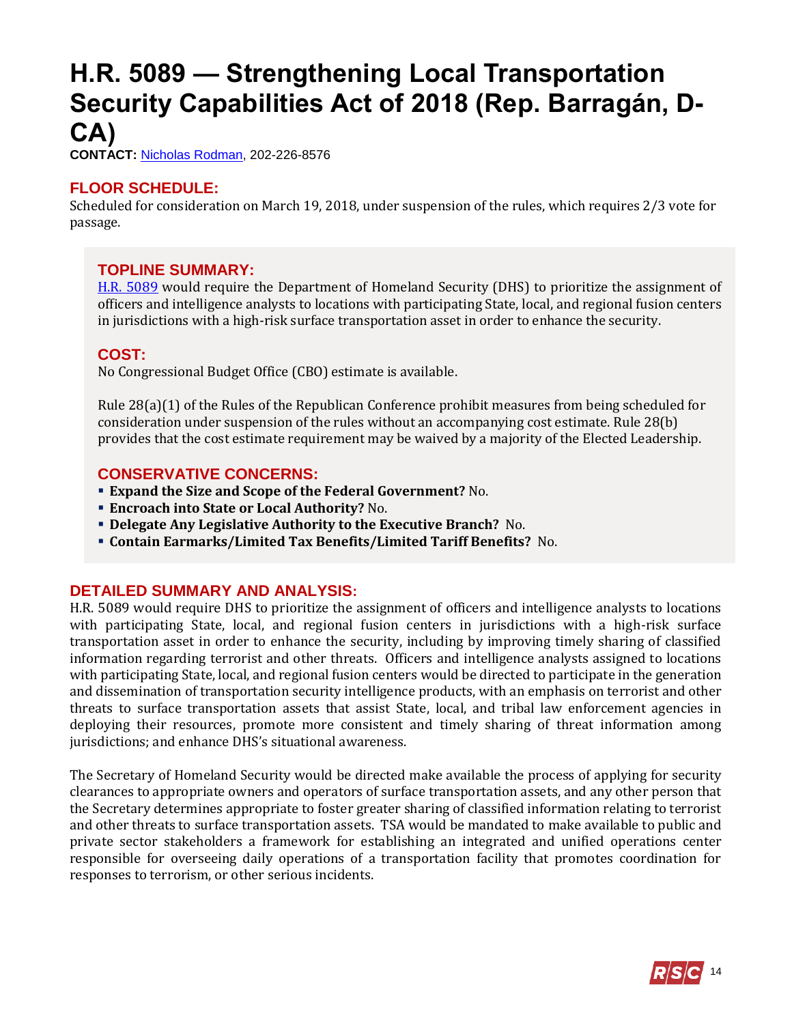## <span id="page-13-0"></span>**H.R. 5089 — Strengthening Local Transportation Security Capabilities Act of 2018 (Rep. Barragán, D-CA)**

**CONTACT:** [Nicholas Rodman,](mailto:nicholas.rodman@mail.house.gov) 202-226-8576

## **FLOOR SCHEDULE:**

Scheduled for consideration on March 19, 2018, under suspension of the rules, which requires 2/3 vote for passage.

## **TOPLINE SUMMARY:**

[H.R. 5089](http://docs.house.gov/billsthisweek/20180319/HR5089-1.pdf) would require the Department of Homeland Security (DHS) to prioritize the assignment of officers and intelligence analysts to locations with participating State, local, and regional fusion centers in jurisdictions with a high-risk surface transportation asset in order to enhance the security.

## **COST:**

No Congressional Budget Office (CBO) estimate is available.

Rule 28(a)(1) of the Rules of the Republican Conference prohibit measures from being scheduled for consideration under suspension of the rules without an accompanying cost estimate. Rule 28(b) provides that the cost estimate requirement may be waived by a majority of the Elected Leadership.

## **CONSERVATIVE CONCERNS:**

- **Expand the Size and Scope of the Federal Government?** No.
- **Encroach into State or Local Authority?** No.
- **Delegate Any Legislative Authority to the Executive Branch?** No.
- **Contain Earmarks/Limited Tax Benefits/Limited Tariff Benefits?** No.

## **DETAILED SUMMARY AND ANALYSIS:**

H.R. 5089 would require DHS to prioritize the assignment of officers and intelligence analysts to locations with participating State, local, and regional fusion centers in jurisdictions with a high-risk surface transportation asset in order to enhance the security, including by improving timely sharing of classified information regarding terrorist and other threats. Officers and intelligence analysts assigned to locations with participating State, local, and regional fusion centers would be directed to participate in the generation and dissemination of transportation security intelligence products, with an emphasis on terrorist and other threats to surface transportation assets that assist State, local, and tribal law enforcement agencies in deploying their resources, promote more consistent and timely sharing of threat information among jurisdictions; and enhance DHS's situational awareness.

The Secretary of Homeland Security would be directed make available the process of applying for security clearances to appropriate owners and operators of surface transportation assets, and any other person that the Secretary determines appropriate to foster greater sharing of classified information relating to terrorist and other threats to surface transportation assets. TSA would be mandated to make available to public and private sector stakeholders a framework for establishing an integrated and unified operations center responsible for overseeing daily operations of a transportation facility that promotes coordination for responses to terrorism, or other serious incidents.

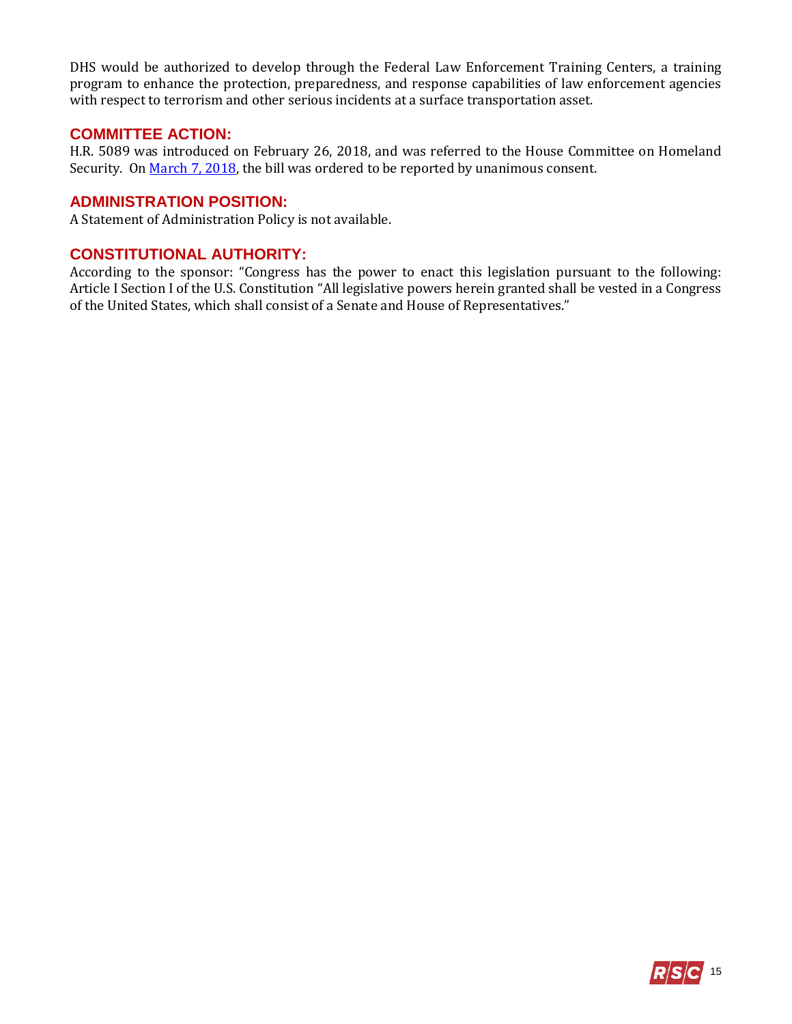DHS would be authorized to develop through the Federal Law Enforcement Training Centers, a training program to enhance the protection, preparedness, and response capabilities of law enforcement agencies with respect to terrorism and other serious incidents at a surface transportation asset.

### **COMMITTEE ACTION:**

H.R. 5089 was introduced on February 26, 2018, and was referred to the House Committee on Homeland Security. O[n March 7, 2018,](https://homeland.house.gov/markup/markup-h-r-4176-h-r-4227-h-r-4467-h-r-4627-h-r-5074-h-r-5079-h-r-5081-h-r-5089-h-r-5094-h-r-5099-h-r-5131/) the bill was ordered to be reported by unanimous consent.

### **ADMINISTRATION POSITION:**

A Statement of Administration Policy is not available.

## **CONSTITUTIONAL AUTHORITY:**

According to the sponsor: "Congress has the power to enact this legislation pursuant to the following: Article I Section I of the U.S. Constitution "All legislative powers herein granted shall be vested in a Congress of the United States, which shall consist of a Senate and House of Representatives."

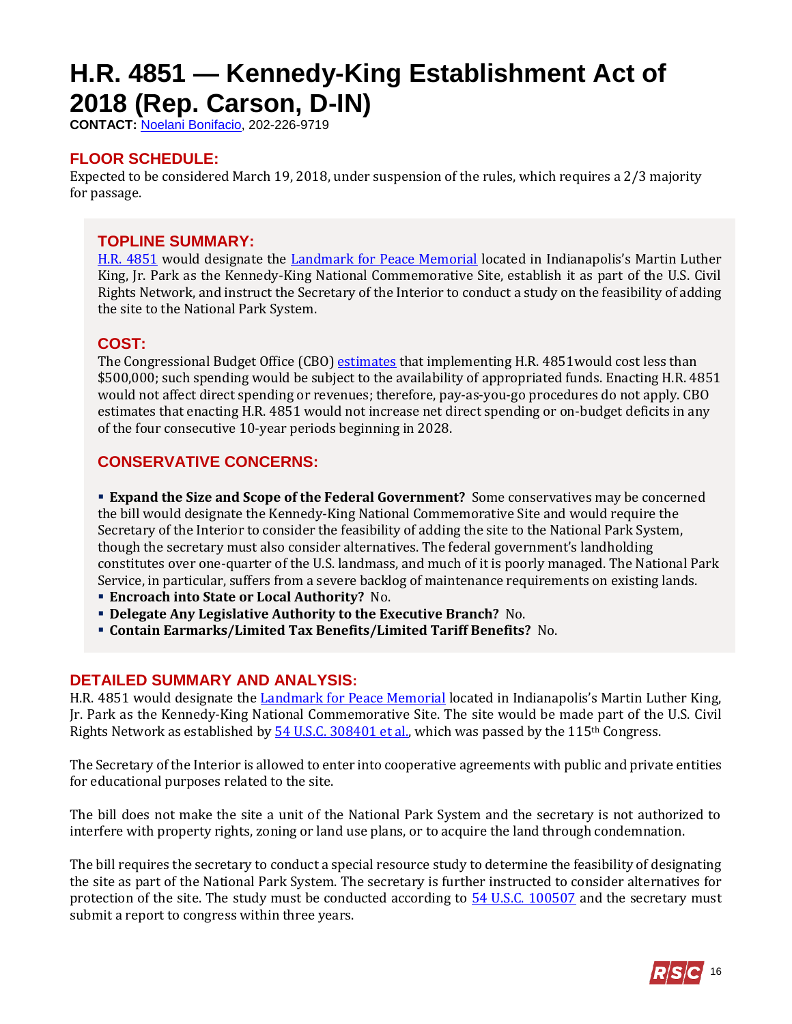# <span id="page-15-0"></span>**H.R. 4851 — Kennedy-King Establishment Act of 2018 (Rep. Carson, D-IN)**

**CONTACT:** [Noelani Bonifacio,](mailto:Noelani.Bonifacio@mail.house.gov) 202-226-9719

## **FLOOR SCHEDULE:**

Expected to be considered March 19, 2018, under suspension of the rules, which requires a 2/3 majority for passage.

## **TOPLINE SUMMARY:**

[H.R. 4851](http://docs.house.gov/billsthisweek/20180319/HR4851.pdf) would designate the [Landmark for Peace Memorial](https://www.visitindy.com/indianapolis-dr-martin-luther-king-jr-park-landmark-for-peace-memorial) located in Indianapolis's Martin Luther King, Jr. Park as the Kennedy-King National Commemorative Site, establish it as part of the U.S. Civil Rights Network, and instruct the Secretary of the Interior to conduct a study on the feasibility of adding the site to the National Park System.

## **COST:**

The Congressional Budget Office (CBO) [estimates](https://www.cbo.gov/system/files/115th-congress-2017-2018/costestimate/hr4851.pdf) that implementing H.R. 4851 would cost less than \$500,000; such spending would be subject to the availability of appropriated funds. Enacting H.R. 4851 would not affect direct spending or revenues; therefore, pay-as-you-go procedures do not apply. CBO estimates that enacting H.R. 4851 would not increase net direct spending or on-budget deficits in any of the four consecutive 10-year periods beginning in 2028.

## **CONSERVATIVE CONCERNS:**

 **Expand the Size and Scope of the Federal Government?** Some conservatives may be concerned the bill would designate the Kennedy-King National Commemorative Site and would require the Secretary of the Interior to consider the feasibility of adding the site to the National Park System, though the secretary must also consider alternatives. The federal government's landholding constitutes over one-quarter of the U.S. landmass, and much of it is poorly managed. The National Park Service, in particular, suffers from a severe backlog of maintenance requirements on existing lands.

- **Encroach into State or Local Authority?** No.
- **Delegate Any Legislative Authority to the Executive Branch?** No.
- **Contain Earmarks/Limited Tax Benefits/Limited Tariff Benefits?** No.

### **DETAILED SUMMARY AND ANALYSIS:**

H.R. 4851 would designate the [Landmark for Peace Memorial](https://www.visitindy.com/indianapolis-dr-martin-luther-king-jr-park-landmark-for-peace-memorial) located in Indianapolis's Martin Luther King, Jr. Park as the Kennedy-King National Commemorative Site. The site would be made part of the U.S. Civil Rights Network as established by  $\frac{54 \text{ U.S.C. } 308401 \text{ et al.}}{20 \text{ H.}}$  which was passed by the 115<sup>th</sup> Congress.

The Secretary of the Interior is allowed to enter into cooperative agreements with public and private entities for educational purposes related to the site.

The bill does not make the site a unit of the National Park System and the secretary is not authorized to interfere with property rights, zoning or land use plans, or to acquire the land through condemnation.

The bill requires the secretary to conduct a special resource study to determine the feasibility of designating the site as part of the National Park System. The secretary is further instructed to consider alternatives for protection of the site. The study must be conducted according to  $\frac{54 \text{ U.S.C. } 100507}{2}$  and the secretary must submit a report to congress within three years.

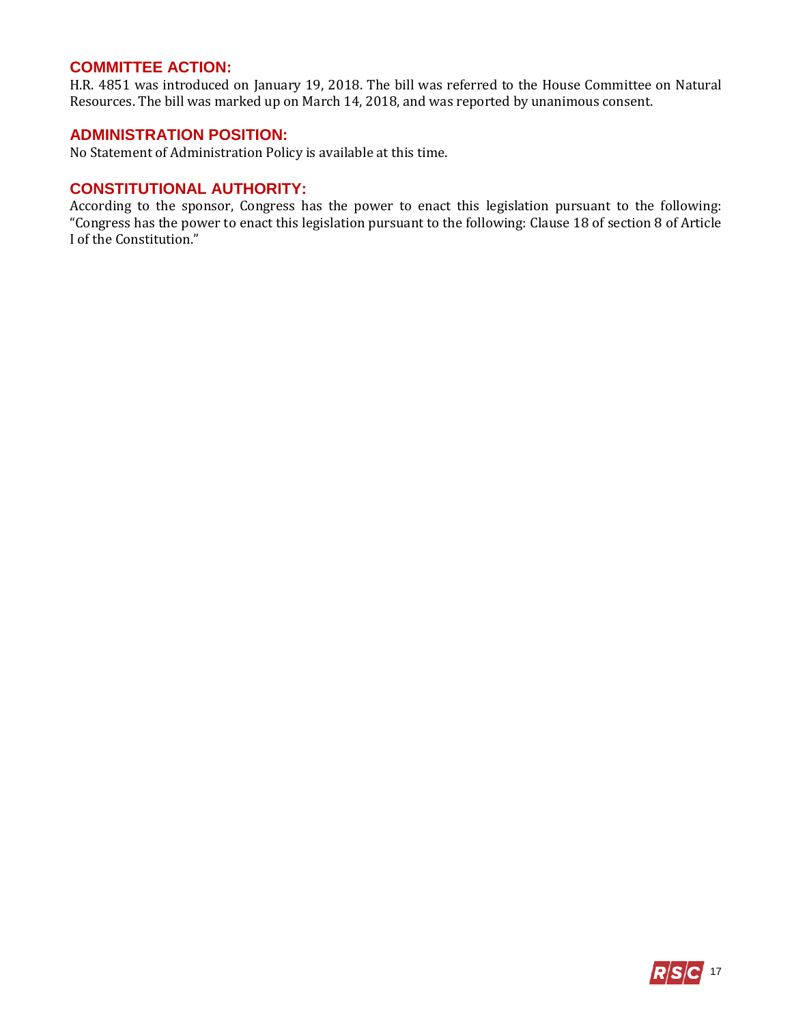### **COMMITTEE ACTION:**

H.R. 4851 was introduced on January 19, 2018. The bill was referred to the House Committee on Natural Resources. The bill was marked up on March 14, 2018, and was reported by unanimous consent.

#### **ADMINISTRATION POSITION:**

No Statement of Administration Policy is available at this time.

### **CONSTITUTIONAL AUTHORITY:**

According to the sponsor, Congress has the power to enact this legislation pursuant to the following: "Congress has the power to enact this legislation pursuant to the following: Clause 18 of section 8 of Article I of the Constitution."

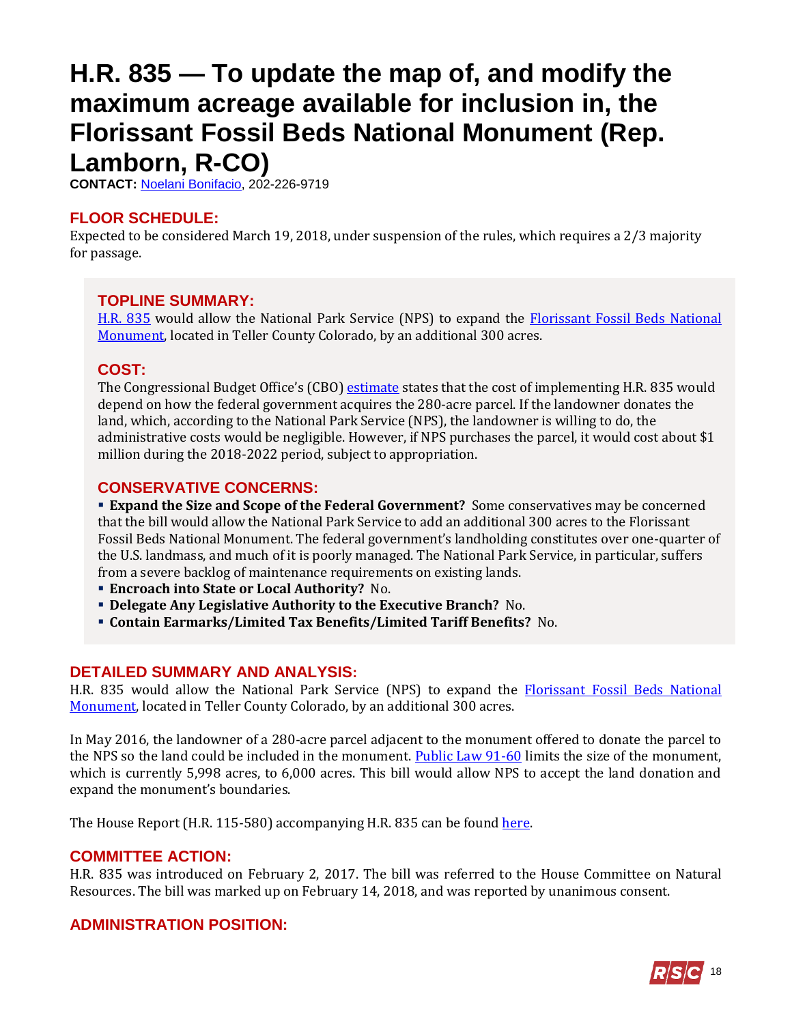## <span id="page-17-0"></span>**H.R. 835 — To update the map of, and modify the maximum acreage available for inclusion in, the Florissant Fossil Beds National Monument (Rep. Lamborn, R-CO)**

**CONTACT:** [Noelani Bonifacio,](mailto:Noelani.Bonifacio@mail.house.gov) 202-226-9719

## **FLOOR SCHEDULE:**

Expected to be considered March 19, 2018, under suspension of the rules, which requires a 2/3 majority for passage.

### **TOPLINE SUMMARY:**

[H.R. 835](http://docs.house.gov/billsthisweek/20180319/HR835.pdf) would allow the National Park Service (NPS) to expand the [Florissant Fossil Beds National](https://www.nps.gov/flfo/index.htm)  [Monument,](https://www.nps.gov/flfo/index.htm) located in Teller County Colorado, by an additional 300 acres.

## **COST:**

The Congressional Budget Office's (CBO[\) estimate](https://www.cbo.gov/system/files/115th-congress-2017-2018/costestimate/hr835.pdf) states that the cost of implementing H.R. 835 would depend on how the federal government acquires the 280-acre parcel. If the landowner donates the land, which, according to the National Park Service (NPS), the landowner is willing to do, the administrative costs would be negligible. However, if NPS purchases the parcel, it would cost about \$1 million during the 2018-2022 period, subject to appropriation.

## **CONSERVATIVE CONCERNS:**

 **Expand the Size and Scope of the Federal Government?** Some conservatives may be concerned that the bill would allow the National Park Service to add an additional 300 acres to the Florissant Fossil Beds National Monument. The federal government's landholding constitutes over one-quarter of the U.S. landmass, and much of it is poorly managed. The National Park Service, in particular, suffers from a severe backlog of maintenance requirements on existing lands.

- **Encroach into State or Local Authority?** No.
- **Delegate Any Legislative Authority to the Executive Branch?** No.
- **Contain Earmarks/Limited Tax Benefits/Limited Tariff Benefits?** No.

## **DETAILED SUMMARY AND ANALYSIS:**

H.R. 835 would allow the National Park Service (NPS) to expand the **Florissant Fossil Beds National** [Monument,](https://www.nps.gov/flfo/index.htm) located in Teller County Colorado, by an additional 300 acres.

In May 2016, the landowner of a 280-acre parcel adjacent to the monument offered to donate the parcel to the NPS so the land could be included in the monument. [Public Law 91-60](http://uscode.house.gov/statutes/pl/91/60.pdf) limits the size of the monument, which is currently 5,998 acres, to 6,000 acres. This bill would allow NPS to accept the land donation and expand the monument's boundaries.

The House Report (H.R. 115-580) accompanying H.R. 835 can be foun[d here.](https://www.congress.gov/115/crpt/hrpt580/CRPT-115hrpt580.pdf)

## **COMMITTEE ACTION:**

H.R. 835 was introduced on February 2, 2017. The bill was referred to the House Committee on Natural Resources. The bill was marked up on February 14, 2018, and was reported by unanimous consent.

## **ADMINISTRATION POSITION:**